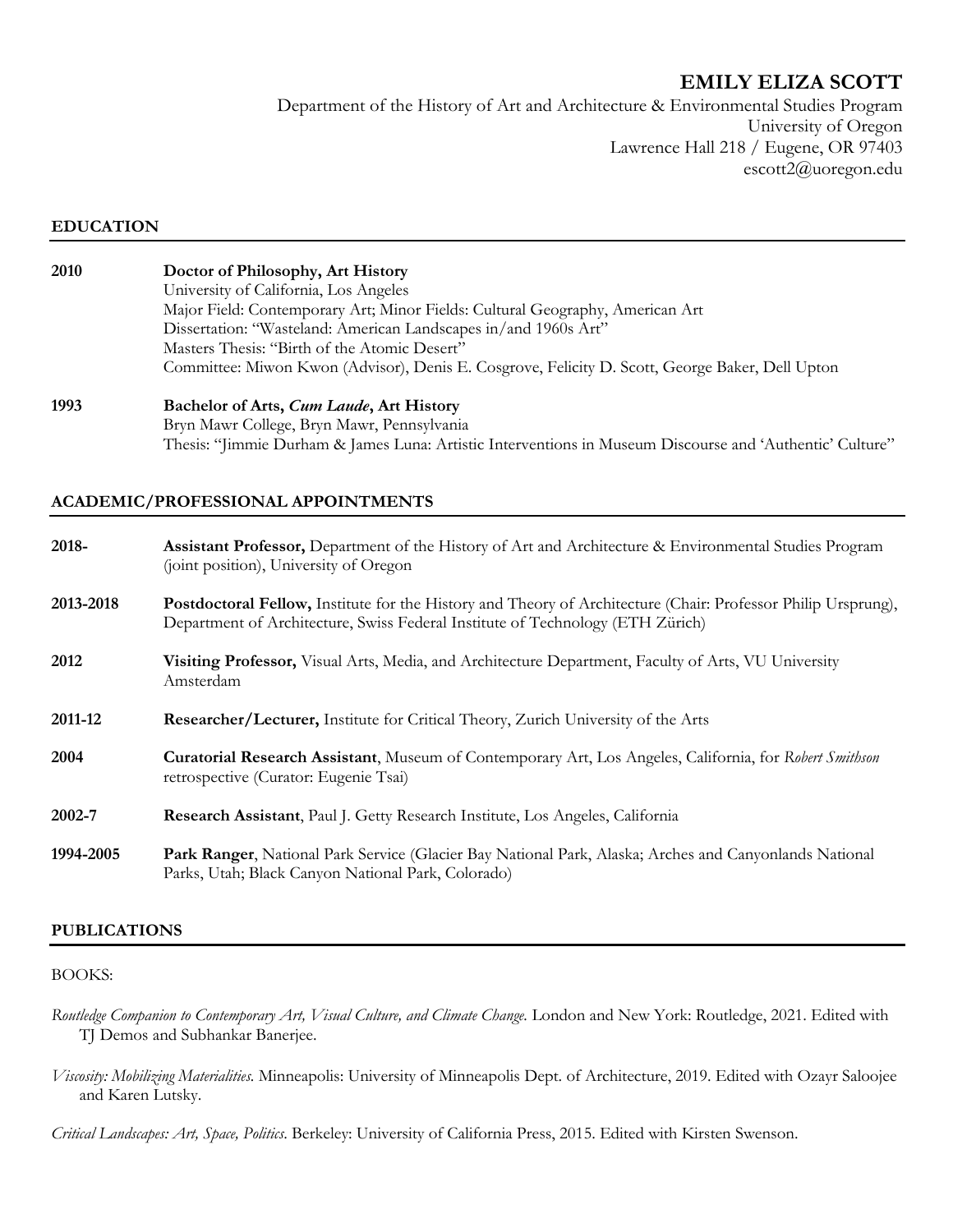# **EMILY ELIZA SCOTT**

Department of the History of Art and Architecture & Environmental Studies Program University of Oregon Lawrence Hall 218 / Eugene, OR 97403 escott2@uoregon.edu

#### **EDUCATION**

| 2010 | Doctor of Philosophy, Art History<br>University of California, Los Angeles<br>Major Field: Contemporary Art; Minor Fields: Cultural Geography, American Art<br>Dissertation: "Wasteland: American Landscapes in/and 1960s Art"<br>Masters Thesis: "Birth of the Atomic Desert"<br>Committee: Miwon Kwon (Advisor), Denis E. Cosgrove, Felicity D. Scott, George Baker, Dell Upton |  |
|------|-----------------------------------------------------------------------------------------------------------------------------------------------------------------------------------------------------------------------------------------------------------------------------------------------------------------------------------------------------------------------------------|--|
| 1002 | $\mathbf{D}$ . 1. 1. $\mathbf{C}$ A $\mathbf{A}$ $\mathbf{C}$ $\mathbf{I}$ $\mathbf{I}$ A $\mathbf{A}$ $\mathbf{H}$ .                                                                                                                                                                                                                                                             |  |

**1993 Bachelor of Arts,** *Cum Laude***, Art History** Bryn Mawr College, Bryn Mawr, Pennsylvania Thesis: "Jimmie Durham & James Luna: Artistic Interventions in Museum Discourse and 'Authentic' Culture"

### **ACADEMIC/PROFESSIONAL APPOINTMENTS**

| 2018-     | <b>Assistant Professor,</b> Department of the History of Art and Architecture & Environmental Studies Program<br>(joint position), University of Oregon                                         |
|-----------|-------------------------------------------------------------------------------------------------------------------------------------------------------------------------------------------------|
| 2013-2018 | Postdoctoral Fellow, Institute for the History and Theory of Architecture (Chair: Professor Philip Ursprung),<br>Department of Architecture, Swiss Federal Institute of Technology (ETH Zürich) |
| 2012      | Visiting Professor, Visual Arts, Media, and Architecture Department, Faculty of Arts, VU University<br>Amsterdam                                                                                |
| 2011-12   | <b>Researcher/Lecturer, Institute for Critical Theory, Zurich University of the Arts</b>                                                                                                        |
| 2004      | Curatorial Research Assistant, Museum of Contemporary Art, Los Angeles, California, for Robert Smithson<br>retrospective (Curator: Eugenie Tsai)                                                |
| 2002-7    | Research Assistant, Paul J. Getty Research Institute, Los Angeles, California                                                                                                                   |
| 1994-2005 | Park Ranger, National Park Service (Glacier Bay National Park, Alaska; Arches and Canyonlands National<br>Parks, Utah; Black Canyon National Park, Colorado)                                    |

### **PUBLICATIONS**

#### BOOKS:

- *Routledge Companion to Contemporary Art, Visual Culture, and Climate Change.* London and New York: Routledge, 2021. Edited with TJ Demos and Subhankar Banerjee.
- *Viscosity: Mobilizing Materialities.* Minneapolis: University of Minneapolis Dept. of Architecture, 2019. Edited with Ozayr Saloojee and Karen Lutsky.

*Critical Landscapes: Art, Space, Politics*. Berkeley: University of California Press, 2015. Edited with Kirsten Swenson.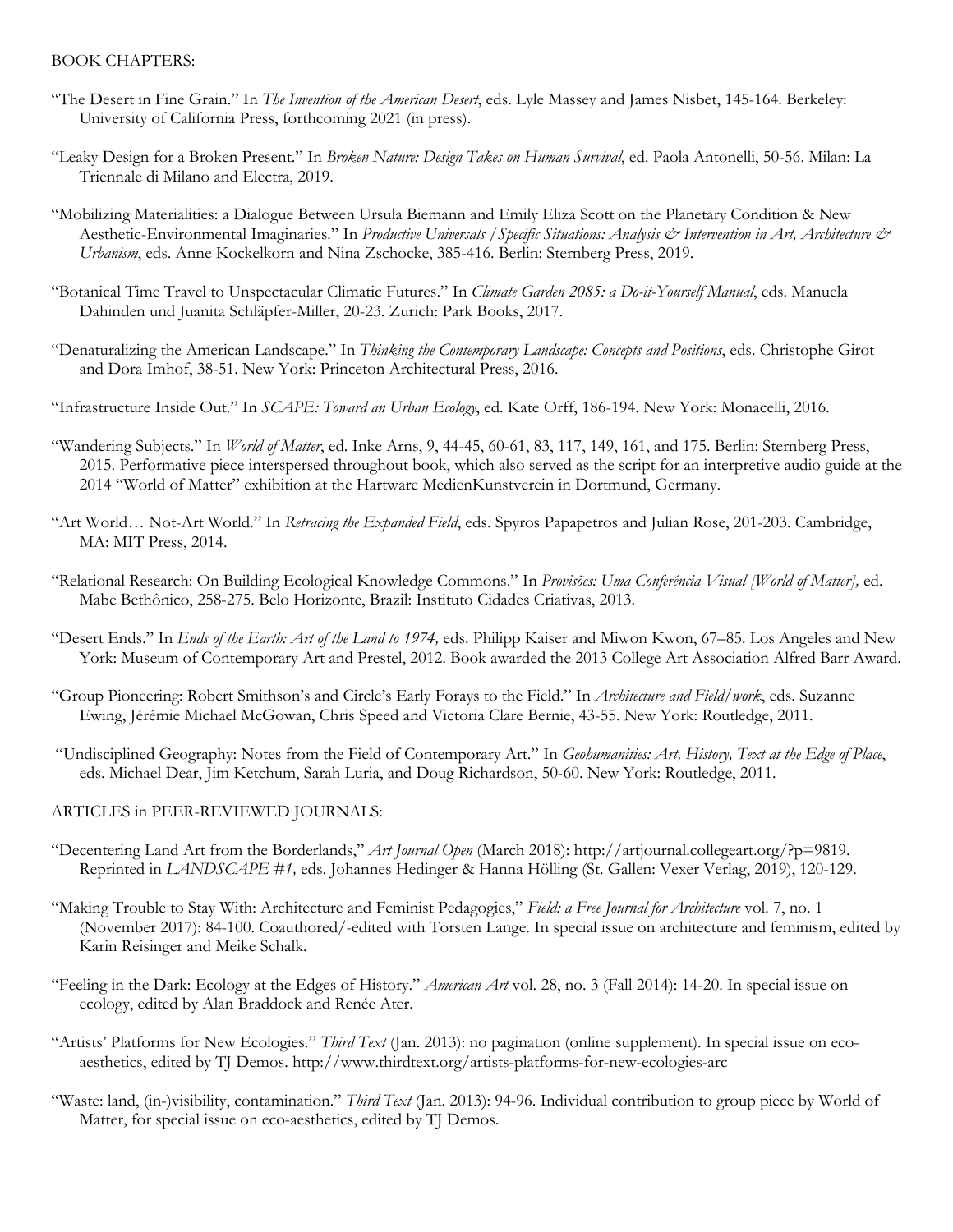#### BOOK CHAPTERS:

- "The Desert in Fine Grain." In *The Invention of the American Desert*, eds. Lyle Massey and James Nisbet, 145-164. Berkeley: University of California Press, forthcoming 2021 (in press).
- "Leaky Design for a Broken Present." In *Broken Nature: Design Takes on Human Survival*, ed. Paola Antonelli, 50-56. Milan: La Triennale di Milano and Electra, 2019.
- "Mobilizing Materialities: a Dialogue Between Ursula Biemann and Emily Eliza Scott on the Planetary Condition & New Aesthetic-Environmental Imaginaries." In *Productive Universals /Specific Situations: Analysis & Intervention in Art, Architecture & Urbanism*, eds. Anne Kockelkorn and Nina Zschocke, 385-416. Berlin: Sternberg Press, 2019.
- "Botanical Time Travel to Unspectacular Climatic Futures." In *Climate Garden 2085: a Do-it-Yourself Manual*, eds. Manuela Dahinden und Juanita Schläpfer-Miller, 20-23. Zurich: Park Books, 2017.
- "Denaturalizing the American Landscape." In *Thinking the Contemporary Landscape: Concepts and Positions*, eds. Christophe Girot and Dora Imhof, 38-51. New York: Princeton Architectural Press, 2016.
- "Infrastructure Inside Out." In *SCAPE: Toward an Urban Ecology*, ed. Kate Orff, 186-194. New York: Monacelli, 2016.
- "Wandering Subjects." In *World of Matter*, ed. Inke Arns, 9, 44-45, 60-61, 83, 117, 149, 161, and 175. Berlin: Sternberg Press, 2015. Performative piece interspersed throughout book, which also served as the script for an interpretive audio guide at the 2014 "World of Matter" exhibition at the Hartware MedienKunstverein in Dortmund, Germany.
- "Art World… Not-Art World." In *Retracing the Expanded Field*, eds. Spyros Papapetros and Julian Rose, 201-203. Cambridge, MA: MIT Press, 2014.
- "Relational Research: On Building Ecological Knowledge Commons." In *Provisões: Uma Conferência Visual [World of Matter],* ed. Mabe Bethônico, 258-275. Belo Horizonte, Brazil: Instituto Cidades Criativas, 2013.
- "Desert Ends." In *Ends of the Earth: Art of the Land to 1974,* eds. Philipp Kaiser and Miwon Kwon, 67–85. Los Angeles and New York: Museum of Contemporary Art and Prestel, 2012. Book awarded the 2013 College Art Association Alfred Barr Award.
- "Group Pioneering: Robert Smithson's and Circle's Early Forays to the Field." In *Architecture and Field/work*, eds. Suzanne Ewing, Jérémie Michael McGowan, Chris Speed and Victoria Clare Bernie, 43-55. New York: Routledge, 2011.
- "Undisciplined Geography: Notes from the Field of Contemporary Art." In *Geohumanities: Art, History, Text at the Edge of Place*, eds. Michael Dear, Jim Ketchum, Sarah Luria, and Doug Richardson, 50-60. New York: Routledge, 2011.

#### ARTICLES in PEER-REVIEWED JOURNALS:

- "Decentering Land Art from the Borderlands," *Art Journal Open* (March 2018): http://artjournal.collegeart.org/?p=9819. Reprinted in *LANDSCAPE #1,* eds. Johannes Hedinger & Hanna Hölling (St. Gallen: Vexer Verlag, 2019), 120-129.
- "Making Trouble to Stay With: Architecture and Feminist Pedagogies," *Field: a Free Journal for Architecture* vol. 7, no. 1 (November 2017): 84-100. Coauthored/-edited with Torsten Lange. In special issue on architecture and feminism, edited by Karin Reisinger and Meike Schalk.
- "Feeling in the Dark: Ecology at the Edges of History." *American Art* vol. 28, no. 3 (Fall 2014): 14-20. In special issue on ecology, edited by Alan Braddock and Renée Ater.
- "Artists' Platforms for New Ecologies." *Third Text* (Jan. 2013): no pagination (online supplement). In special issue on ecoaesthetics, edited by TJ Demos. http://www.thirdtext.org/artists-platforms-for-new-ecologies-arc
- "Waste: land, (in-)visibility, contamination." *Third Text* (Jan. 2013): 94-96. Individual contribution to group piece by World of Matter, for special issue on eco-aesthetics, edited by TJ Demos.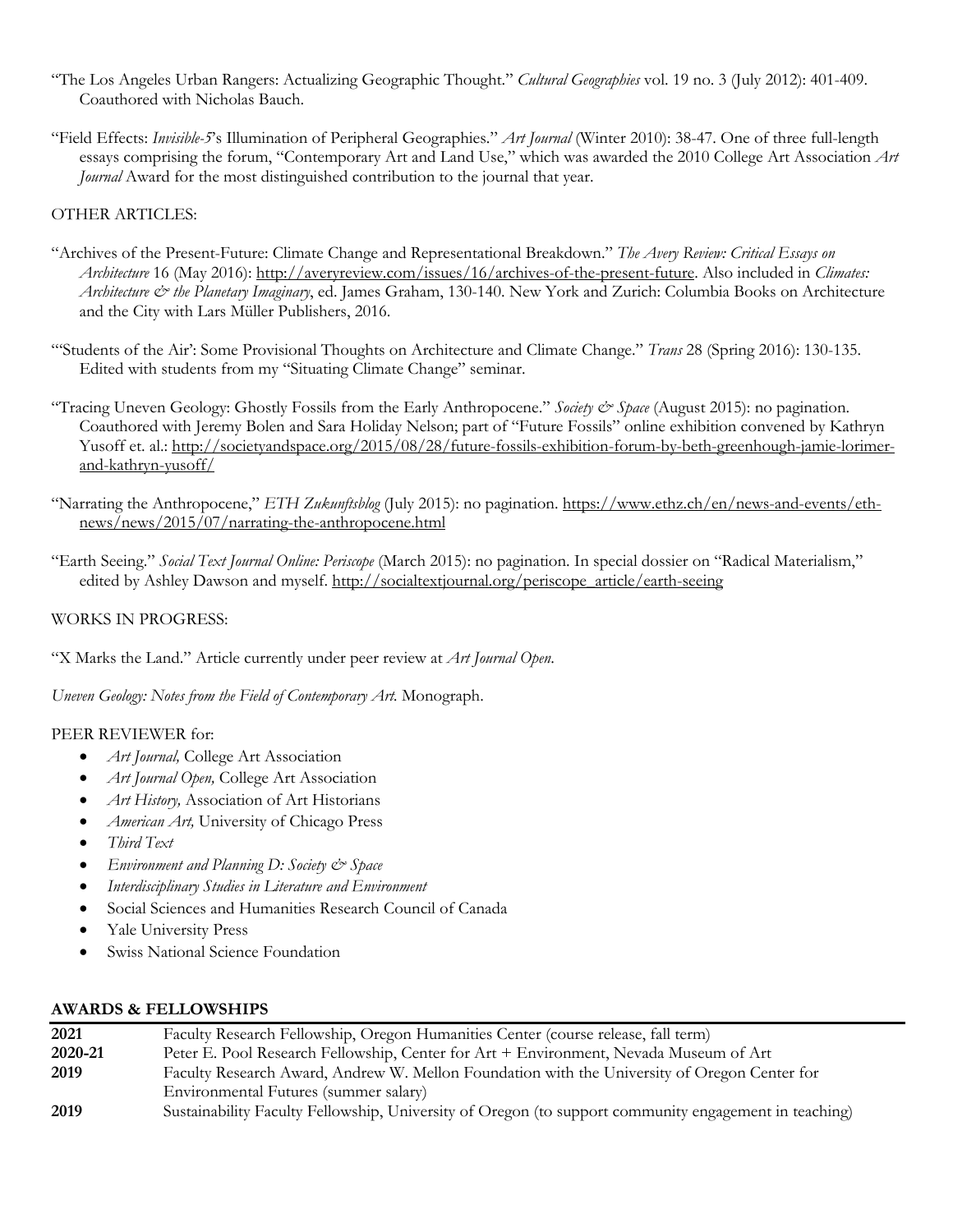- "The Los Angeles Urban Rangers: Actualizing Geographic Thought." *Cultural Geographies* vol. 19 no. 3 (July 2012): 401-409. Coauthored with Nicholas Bauch.
- "Field Effects: *Invisible-5*'s Illumination of Peripheral Geographies." *Art Journal* (Winter 2010): 38-47. One of three full-length essays comprising the forum, "Contemporary Art and Land Use," which was awarded the 2010 College Art Association *Art Journal* Award for the most distinguished contribution to the journal that year.

### OTHER ARTICLES:

- "Archives of the Present-Future: Climate Change and Representational Breakdown." *The Avery Review: Critical Essays on Architecture* 16 (May 2016): http://averyreview.com/issues/16/archives-of-the-present-future. Also included in *Climates: Architecture & the Planetary Imaginary*, ed. James Graham, 130-140. New York and Zurich: Columbia Books on Architecture and the City with Lars Müller Publishers, 2016.
- "'Students of the Air': Some Provisional Thoughts on Architecture and Climate Change." *Trans* 28 (Spring 2016): 130-135. Edited with students from my "Situating Climate Change" seminar.
- "Tracing Uneven Geology: Ghostly Fossils from the Early Anthropocene." *Society & Space* (August 2015): no pagination. Coauthored with Jeremy Bolen and Sara Holiday Nelson; part of "Future Fossils" online exhibition convened by Kathryn Yusoff et. al.: http://societyandspace.org/2015/08/28/future-fossils-exhibition-forum-by-beth-greenhough-jamie-lorimerand-kathryn-yusoff/
- "Narrating the Anthropocene," *ETH Zukunftsblog* (July 2015): no pagination. https://www.ethz.ch/en/news-and-events/ethnews/news/2015/07/narrating-the-anthropocene.html
- "Earth Seeing." *Social Text Journal Online: Periscope* (March 2015): no pagination. In special dossier on "Radical Materialism," edited by Ashley Dawson and myself. http://socialtextjournal.org/periscope\_article/earth-seeing

#### WORKS IN PROGRESS:

"X Marks the Land." Article currently under peer review at *Art Journal Open*.

Uneven Geology: Notes from the Field of Contemporary Art. Monograph.

#### PEER REVIEWER for:

- *Art Journal,* College Art Association
- *Art Journal Open,* College Art Association
- *Art History,* Association of Art Historians
- *American Art,* University of Chicago Press
- *Third Text*
- *Environment and Planning D: Society & Space*
- *Interdisciplinary Studies in Literature and Environment*
- Social Sciences and Humanities Research Council of Canada
- Yale University Press
- Swiss National Science Foundation

### **AWARDS & FELLOWSHIPS**

| 2021    | Faculty Research Fellowship, Oregon Humanities Center (course release, fall term)                     |
|---------|-------------------------------------------------------------------------------------------------------|
| 2020-21 | Peter E. Pool Research Fellowship, Center for Art + Environment, Nevada Museum of Art                 |
| 2019    | Faculty Research Award, Andrew W. Mellon Foundation with the University of Oregon Center for          |
|         | Environmental Futures (summer salary)                                                                 |
| 2019    | Sustainability Faculty Fellowship, University of Oregon (to support community engagement in teaching) |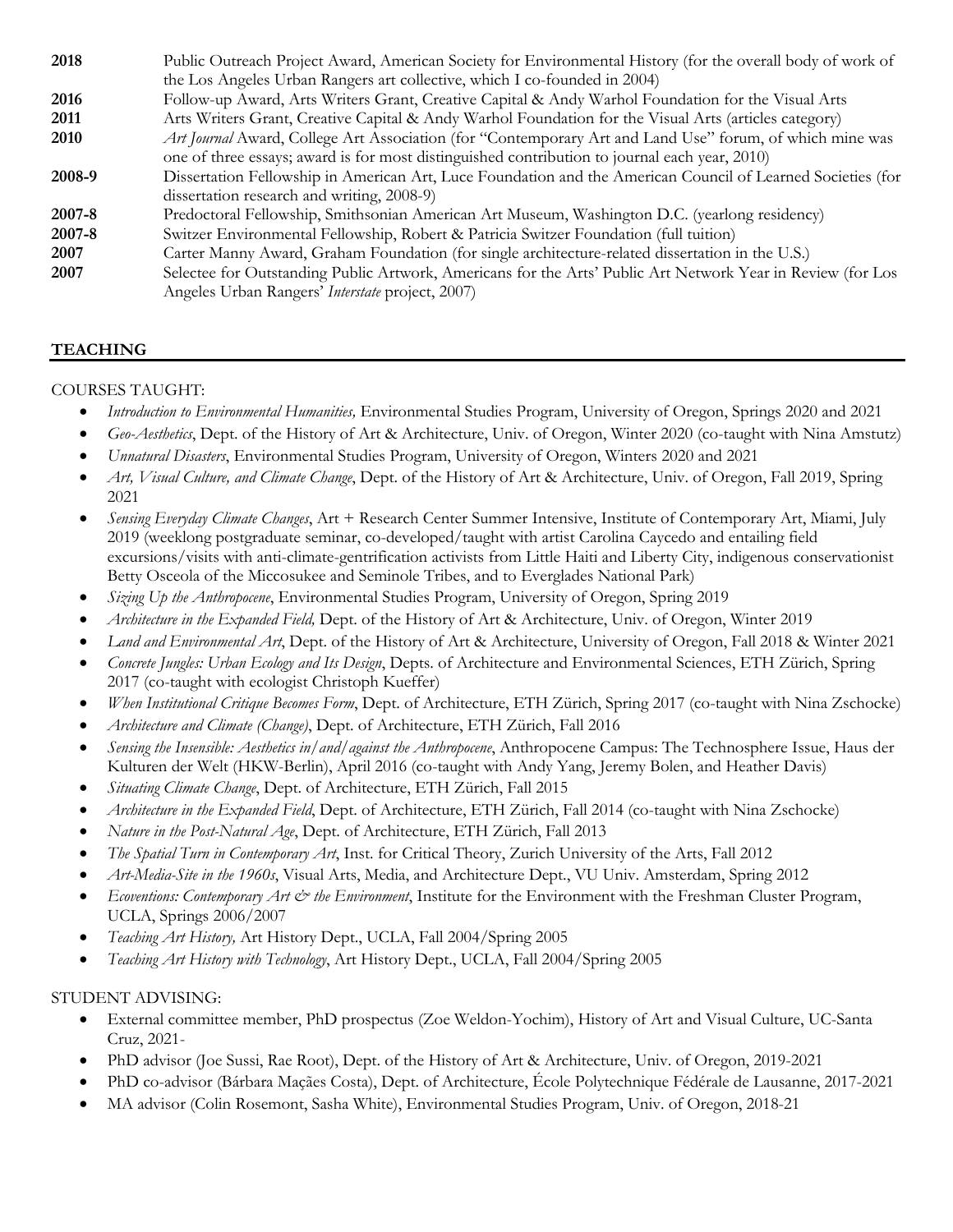| 2018        | Public Outreach Project Award, American Society for Environmental History (for the overall body of work of  |
|-------------|-------------------------------------------------------------------------------------------------------------|
|             | the Los Angeles Urban Rangers art collective, which I co-founded in 2004)                                   |
| 2016        | Follow-up Award, Arts Writers Grant, Creative Capital & Andy Warhol Foundation for the Visual Arts          |
| 2011        | Arts Writers Grant, Creative Capital & Andy Warhol Foundation for the Visual Arts (articles category)       |
| <b>2010</b> | Art Journal Award, College Art Association (for "Contemporary Art and Land Use" forum, of which mine was    |
|             | one of three essays; award is for most distinguished contribution to journal each year, 2010)               |
| 2008-9      | Dissertation Fellowship in American Art, Luce Foundation and the American Council of Learned Societies (for |
|             | dissertation research and writing, 2008-9)                                                                  |
| 2007-8      | Predoctoral Fellowship, Smithsonian American Art Museum, Washington D.C. (yearlong residency)               |
| 2007-8      | Switzer Environmental Fellowship, Robert & Patricia Switzer Foundation (full tuition)                       |
| 2007        | Carter Manny Award, Graham Foundation (for single architecture-related dissertation in the U.S.)            |
| 2007        | Selectee for Outstanding Public Artwork, Americans for the Arts' Public Art Network Year in Review (for Los |
|             | Angeles Urban Rangers' Interstate project, 2007)                                                            |

# **TEACHING**

### COURSES TAUGHT:

- *Introduction to Environmental Humanities,* Environmental Studies Program, University of Oregon, Springs 2020 and 2021
- *Geo-Aesthetics*, Dept. of the History of Art & Architecture, Univ. of Oregon, Winter 2020 (co-taught with Nina Amstutz)
- *Unnatural Disasters*, Environmental Studies Program, University of Oregon, Winters 2020 and 2021
- *Art, Visual Culture, and Climate Change*, Dept. of the History of Art & Architecture, Univ. of Oregon, Fall 2019, Spring 2021
- *Sensing Everyday Climate Changes*, Art + Research Center Summer Intensive, Institute of Contemporary Art, Miami, July 2019 (weeklong postgraduate seminar, co-developed/taught with artist Carolina Caycedo and entailing field excursions/visits with anti-climate-gentrification activists from Little Haiti and Liberty City, indigenous conservationist Betty Osceola of the Miccosukee and Seminole Tribes, and to Everglades National Park)
- *Sizing Up the Anthropocene*, Environmental Studies Program, University of Oregon, Spring 2019
- *Architecture in the Expanded Field,* Dept. of the History of Art & Architecture, Univ. of Oregon, Winter 2019
- *Land and Environmental Art*, Dept. of the History of Art & Architecture, University of Oregon, Fall 2018 & Winter 2021
- *Concrete Jungles: Urban Ecology and Its Design*, Depts. of Architecture and Environmental Sciences, ETH Zürich, Spring 2017 (co-taught with ecologist Christoph Kueffer)
- *When Institutional Critique Becomes Form*, Dept. of Architecture, ETH Zürich, Spring 2017 (co-taught with Nina Zschocke)
- *Architecture and Climate (Change)*, Dept. of Architecture, ETH Zürich, Fall 2016
- *Sensing the Insensible: Aesthetics in/and/against the Anthropocene*, Anthropocene Campus: The Technosphere Issue, Haus der Kulturen der Welt (HKW-Berlin), April 2016 (co-taught with Andy Yang, Jeremy Bolen, and Heather Davis)
- *Situating Climate Change*, Dept. of Architecture, ETH Zürich, Fall 2015
- *Architecture in the Expanded Field*, Dept. of Architecture, ETH Zürich, Fall 2014 (co-taught with Nina Zschocke)
- *Nature in the Post-Natural Age*, Dept. of Architecture, ETH Zürich, Fall 2013
- *The Spatial Turn in Contemporary Art*, Inst. for Critical Theory, Zurich University of the Arts, Fall 2012
- *Art-Media-Site in the 1960s*, Visual Arts, Media, and Architecture Dept., VU Univ. Amsterdam, Spring 2012
- *Ecoventions: Contemporary Art & the Environment*, Institute for the Environment with the Freshman Cluster Program, UCLA, Springs 2006/2007
- *Teaching Art History,* Art History Dept., UCLA, Fall 2004/Spring 2005
- *Teaching Art History with Technology*, Art History Dept., UCLA, Fall 2004/Spring 2005

#### STUDENT ADVISING:

- External committee member, PhD prospectus (Zoe Weldon-Yochim), History of Art and Visual Culture, UC-Santa Cruz, 2021-
- PhD advisor (Joe Sussi, Rae Root), Dept. of the History of Art & Architecture, Univ. of Oregon, 2019-2021
- PhD co-advisor (Bárbara Maçães Costa), Dept. of Architecture, École Polytechnique Fédérale de Lausanne, 2017-2021
- MA advisor (Colin Rosemont, Sasha White), Environmental Studies Program, Univ. of Oregon, 2018-21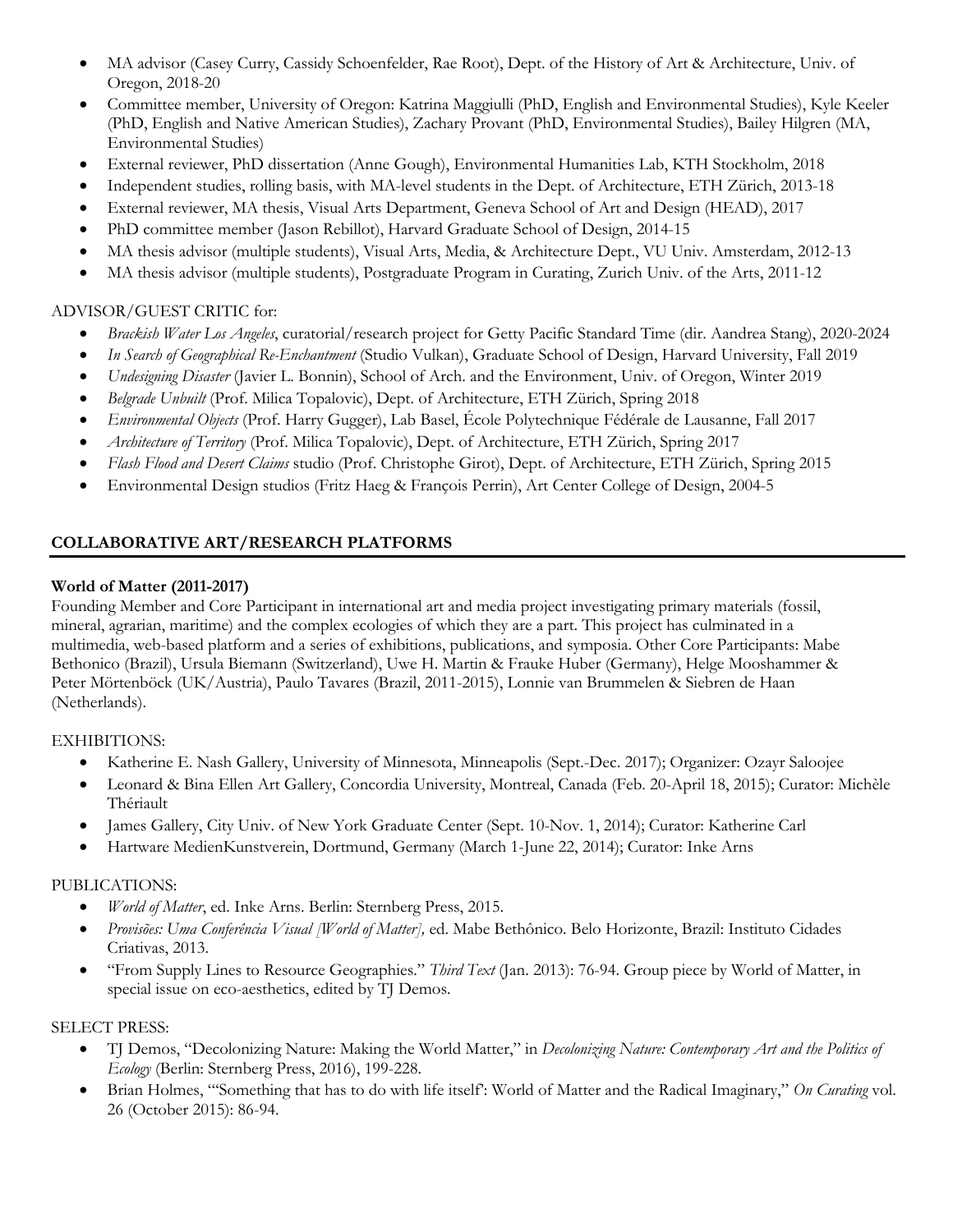- MA advisor (Casey Curry, Cassidy Schoenfelder, Rae Root), Dept. of the History of Art & Architecture, Univ. of Oregon, 2018-20
- Committee member, University of Oregon: Katrina Maggiulli (PhD, English and Environmental Studies), Kyle Keeler (PhD, English and Native American Studies), Zachary Provant (PhD, Environmental Studies), Bailey Hilgren (MA, Environmental Studies)
- External reviewer, PhD dissertation (Anne Gough), Environmental Humanities Lab, KTH Stockholm, 2018
- Independent studies, rolling basis, with MA-level students in the Dept. of Architecture, ETH Zürich, 2013-18
- External reviewer, MA thesis, Visual Arts Department, Geneva School of Art and Design (HEAD), 2017
- PhD committee member (Jason Rebillot), Harvard Graduate School of Design, 2014-15
- MA thesis advisor (multiple students), Visual Arts, Media, & Architecture Dept., VU Univ. Amsterdam, 2012-13
- MA thesis advisor (multiple students), Postgraduate Program in Curating, Zurich Univ. of the Arts, 2011-12

# ADVISOR/GUEST CRITIC for:

- *Brackish Water Los Angeles*, curatorial/research project for Getty Pacific Standard Time (dir. Aandrea Stang), 2020-2024
- *In Search of Geographical Re-Enchantment* (Studio Vulkan), Graduate School of Design, Harvard University, Fall 2019
- *Undesigning Disaster* (Javier L. Bonnin), School of Arch. and the Environment, Univ. of Oregon, Winter 2019
- *Belgrade Unbuilt* (Prof. Milica Topalovic), Dept. of Architecture, ETH Zürich, Spring 2018
- *Environmental Objects* (Prof. Harry Gugger), Lab Basel, École Polytechnique Fédérale de Lausanne, Fall 2017
- *Architecture of Territory* (Prof. Milica Topalovic), Dept. of Architecture, ETH Zürich, Spring 2017
- *Flash Flood and Desert Claims* studio (Prof. Christophe Girot), Dept. of Architecture, ETH Zürich, Spring 2015
- Environmental Design studios (Fritz Haeg & François Perrin), Art Center College of Design, 2004-5

# **COLLABORATIVE ART/RESEARCH PLATFORMS**

# **World of Matter (2011-2017)**

Founding Member and Core Participant in international art and media project investigating primary materials (fossil, mineral, agrarian, maritime) and the complex ecologies of which they are a part. This project has culminated in a multimedia, web-based platform and a series of exhibitions, publications, and symposia. Other Core Participants: Mabe Bethonico (Brazil), Ursula Biemann (Switzerland), Uwe H. Martin & Frauke Huber (Germany), Helge Mooshammer & Peter Mörtenböck (UK/Austria), Paulo Tavares (Brazil, 2011-2015), Lonnie van Brummelen & Siebren de Haan (Netherlands).

### EXHIBITIONS:

- Katherine E. Nash Gallery, University of Minnesota, Minneapolis (Sept.-Dec. 2017); Organizer: Ozayr Saloojee
- Leonard & Bina Ellen Art Gallery, Concordia University, Montreal, Canada (Feb. 20-April 18, 2015); Curator: Michèle Thériault
- James Gallery, City Univ. of New York Graduate Center (Sept. 10-Nov. 1, 2014); Curator: Katherine Carl
- Hartware MedienKunstverein, Dortmund, Germany (March 1-June 22, 2014); Curator: Inke Arns

### PUBLICATIONS:

- *World of Matter*, ed. Inke Arns. Berlin: Sternberg Press, 2015.
- *Provisões: Uma Conferência Visual [World of Matter],* ed. Mabe Bethônico. Belo Horizonte, Brazil: Instituto Cidades Criativas, 2013.
- "From Supply Lines to Resource Geographies." *Third Text* (Jan. 2013): 76-94. Group piece by World of Matter, in special issue on eco-aesthetics, edited by TJ Demos.

### SELECT PRESS:

- TJ Demos, "Decolonizing Nature: Making the World Matter," in *Decolonizing Nature: Contemporary Art and the Politics of Ecology* (Berlin: Sternberg Press, 2016), 199-228.
- Brian Holmes, "'Something that has to do with life itself': World of Matter and the Radical Imaginary," *On Curating* vol. 26 (October 2015): 86-94.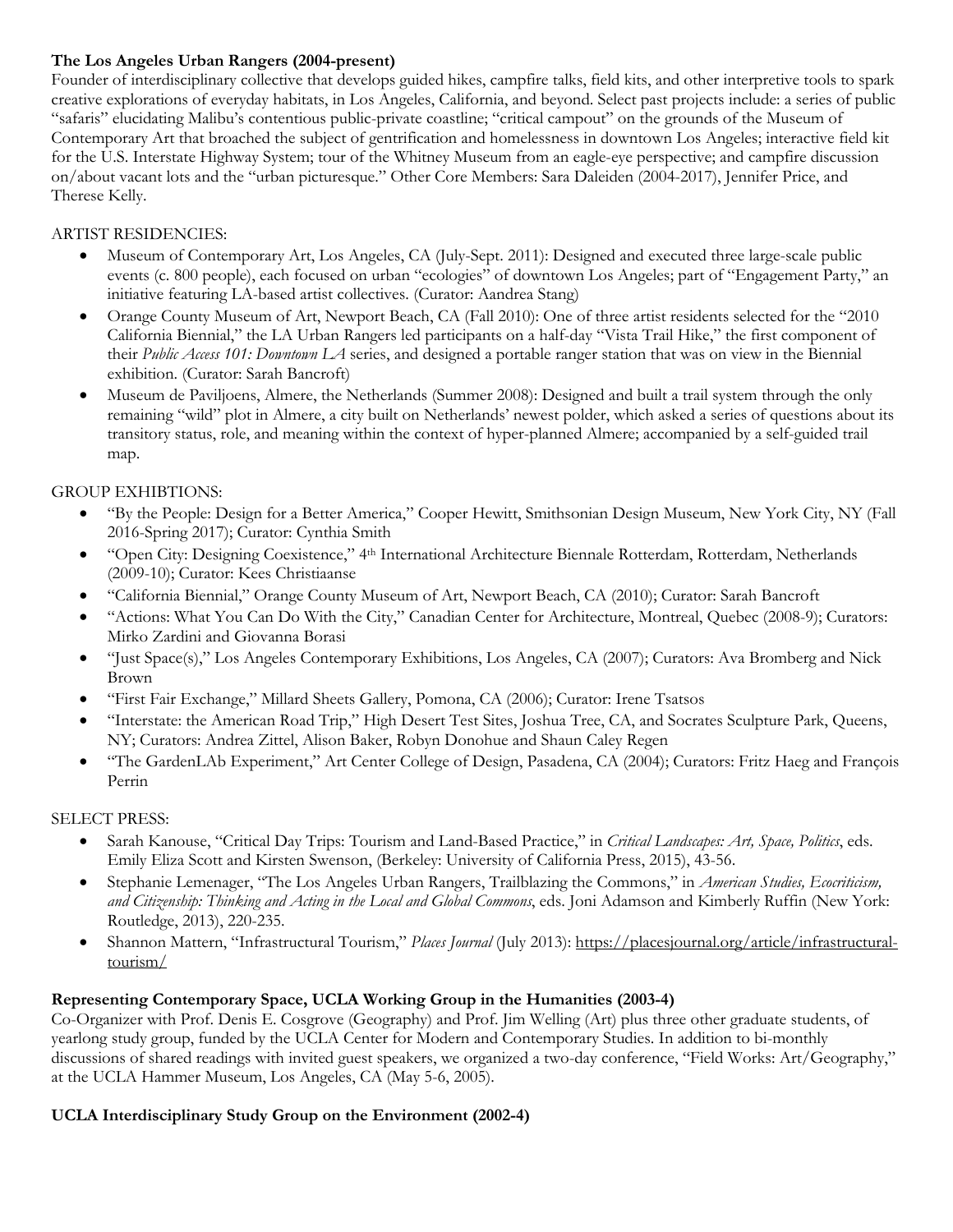### **The Los Angeles Urban Rangers (2004-present)**

Founder of interdisciplinary collective that develops guided hikes, campfire talks, field kits, and other interpretive tools to spark creative explorations of everyday habitats, in Los Angeles, California, and beyond. Select past projects include: a series of public "safaris" elucidating Malibu's contentious public-private coastline; "critical campout" on the grounds of the Museum of Contemporary Art that broached the subject of gentrification and homelessness in downtown Los Angeles; interactive field kit for the U.S. Interstate Highway System; tour of the Whitney Museum from an eagle-eye perspective; and campfire discussion on/about vacant lots and the "urban picturesque." Other Core Members: Sara Daleiden (2004-2017), Jennifer Price, and Therese Kelly.

# ARTIST RESIDENCIES:

- Museum of Contemporary Art, Los Angeles, CA (July-Sept. 2011): Designed and executed three large-scale public events (c. 800 people), each focused on urban "ecologies" of downtown Los Angeles; part of "Engagement Party," an initiative featuring LA-based artist collectives. (Curator: Aandrea Stang)
- Orange County Museum of Art, Newport Beach, CA (Fall 2010): One of three artist residents selected for the "2010 California Biennial," the LA Urban Rangers led participants on a half-day "Vista Trail Hike," the first component of their *Public Access 101: Downtown LA* series, and designed a portable ranger station that was on view in the Biennial exhibition. (Curator: Sarah Bancroft)
- Museum de Paviljoens, Almere, the Netherlands (Summer 2008): Designed and built a trail system through the only remaining "wild" plot in Almere, a city built on Netherlands' newest polder, which asked a series of questions about its transitory status, role, and meaning within the context of hyper-planned Almere; accompanied by a self-guided trail map.

# GROUP EXHIBTIONS:

- "By the People: Design for a Better America," Cooper Hewitt, Smithsonian Design Museum, New York City, NY (Fall 2016-Spring 2017); Curator: Cynthia Smith
- "Open City: Designing Coexistence," 4th International Architecture Biennale Rotterdam, Rotterdam, Netherlands (2009-10); Curator: Kees Christiaanse
- "California Biennial," Orange County Museum of Art, Newport Beach, CA (2010); Curator: Sarah Bancroft
- "Actions: What You Can Do With the City," Canadian Center for Architecture, Montreal, Quebec (2008-9); Curators: Mirko Zardini and Giovanna Borasi
- "Just Space(s)," Los Angeles Contemporary Exhibitions, Los Angeles, CA (2007); Curators: Ava Bromberg and Nick Brown
- "First Fair Exchange," Millard Sheets Gallery, Pomona, CA (2006); Curator: Irene Tsatsos
- "Interstate: the American Road Trip," High Desert Test Sites, Joshua Tree, CA, and Socrates Sculpture Park, Queens, NY; Curators: Andrea Zittel, Alison Baker, Robyn Donohue and Shaun Caley Regen
- "The GardenLAb Experiment," Art Center College of Design, Pasadena, CA (2004); Curators: Fritz Haeg and François Perrin

### SELECT PRESS:

- Sarah Kanouse, "Critical Day Trips: Tourism and Land-Based Practice," in *Critical Landscapes: Art, Space, Politics*, eds. Emily Eliza Scott and Kirsten Swenson, (Berkeley: University of California Press, 2015), 43-56.
- Stephanie Lemenager, "The Los Angeles Urban Rangers, Trailblazing the Commons," in *American Studies, Ecocriticism, and Citizenship: Thinking and Acting in the Local and Global Commons*, eds. Joni Adamson and Kimberly Ruffin (New York: Routledge, 2013), 220-235.
- Shannon Mattern, "Infrastructural Tourism," *Places Journal* (July 2013): https://placesjournal.org/article/infrastructuraltourism/

# **Representing Contemporary Space, UCLA Working Group in the Humanities (2003-4)**

Co-Organizer with Prof. Denis E. Cosgrove (Geography) and Prof. Jim Welling (Art) plus three other graduate students, of yearlong study group, funded by the UCLA Center for Modern and Contemporary Studies. In addition to bi-monthly discussions of shared readings with invited guest speakers, we organized a two-day conference, "Field Works: Art/Geography," at the UCLA Hammer Museum, Los Angeles, CA (May 5-6, 2005).

### **UCLA Interdisciplinary Study Group on the Environment (2002-4)**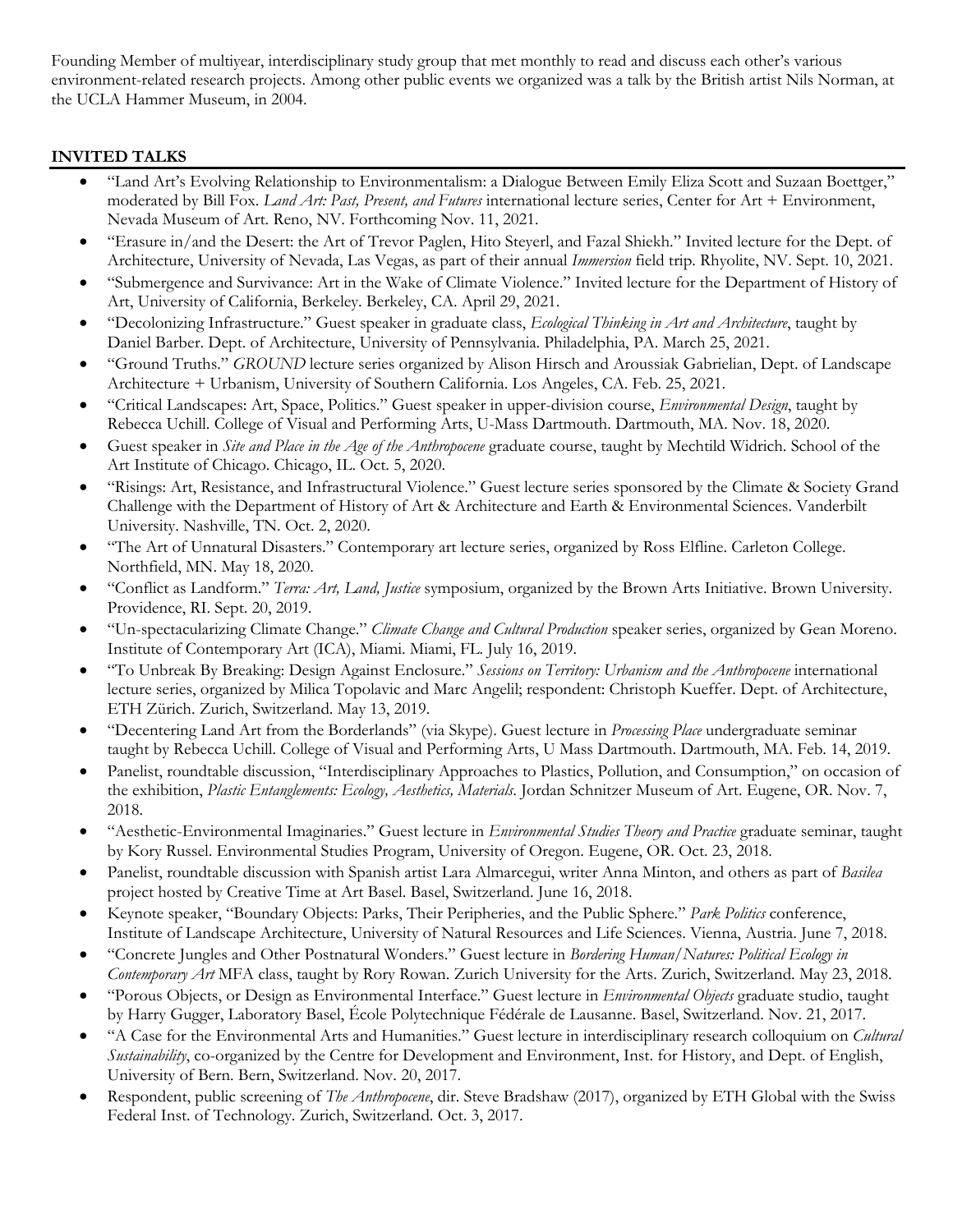Founding Member of multiyear, interdisciplinary study group that met monthly to read and discuss each other's various environment-related research projects. Among other public events we organized was a talk by the British artist Nils Norman, at the UCLA Hammer Museum, in 2004.

# **INVITED TALKS**

- "Land Art's Evolving Relationship to Environmentalism: a Dialogue Between Emily Eliza Scott and Suzaan Boettger," moderated by Bill Fox. *Land Art: Past, Present, and Futures* international lecture series, Center for Art + Environment, Nevada Museum of Art. Reno, NV. Forthcoming Nov. 11, 2021.
- "Erasure in/and the Desert: the Art of Trevor Paglen, Hito Steyerl, and Fazal Shiekh." Invited lecture for the Dept. of Architecture, University of Nevada, Las Vegas, as part of their annual *Immersion* field trip. Rhyolite, NV. Sept. 10, 2021.
- "Submergence and Survivance: Art in the Wake of Climate Violence." Invited lecture for the Department of History of Art, University of California, Berkeley. Berkeley, CA. April 29, 2021.
- "Decolonizing Infrastructure." Guest speaker in graduate class, *Ecological Thinking in Art and Architecture*, taught by Daniel Barber. Dept. of Architecture, University of Pennsylvania. Philadelphia, PA. March 25, 2021.
- "Ground Truths." *GROUND* lecture series organized by Alison Hirsch and Aroussiak Gabrielian, Dept. of Landscape Architecture + Urbanism, University of Southern California. Los Angeles, CA. Feb. 25, 2021.
- "Critical Landscapes: Art, Space, Politics." Guest speaker in upper-division course, *Environmental Design*, taught by Rebecca Uchill. College of Visual and Performing Arts, U-Mass Dartmouth. Dartmouth, MA. Nov. 18, 2020.
- Guest speaker in *Site and Place in the Age of the Anthropocene* graduate course, taught by Mechtild Widrich. School of the Art Institute of Chicago. Chicago, IL. Oct. 5, 2020.
- "Risings: Art, Resistance, and Infrastructural Violence." Guest lecture series sponsored by the Climate & Society Grand Challenge with the Department of History of Art & Architecture and Earth & Environmental Sciences. Vanderbilt University. Nashville, TN. Oct. 2, 2020.
- "The Art of Unnatural Disasters." Contemporary art lecture series, organized by Ross Elfline. Carleton College. Northfield, MN. May 18, 2020.
- "Conflict as Landform." *Terra: Art, Land, Justice* symposium, organized by the Brown Arts Initiative. Brown University. Providence, RI. Sept. 20, 2019.
- "Un-spectacularizing Climate Change." *Climate Change and Cultural Production* speaker series, organized by Gean Moreno. Institute of Contemporary Art (ICA), Miami. Miami, FL. July 16, 2019.
- "To Unbreak By Breaking: Design Against Enclosure." *Sessions on Territory: Urbanism and the Anthropocene* international lecture series, organized by Milica Topolavic and Marc Angelil; respondent: Christoph Kueffer. Dept. of Architecture, ETH Zürich. Zurich, Switzerland. May 13, 2019.
- "Decentering Land Art from the Borderlands" (via Skype). Guest lecture in *Processing Place* undergraduate seminar taught by Rebecca Uchill. College of Visual and Performing Arts, U Mass Dartmouth. Dartmouth, MA. Feb. 14, 2019.
- Panelist, roundtable discussion, "Interdisciplinary Approaches to Plastics, Pollution, and Consumption," on occasion of the exhibition, *Plastic Entanglements: Ecology, Aesthetics, Materials*. Jordan Schnitzer Museum of Art. Eugene, OR. Nov. 7, 2018.
- "Aesthetic-Environmental Imaginaries." Guest lecture in *Environmental Studies Theory and Practice* graduate seminar, taught by Kory Russel. Environmental Studies Program, University of Oregon. Eugene, OR. Oct. 23, 2018.
- Panelist, roundtable discussion with Spanish artist Lara Almarcegui, writer Anna Minton, and others as part of *Basilea* project hosted by Creative Time at Art Basel. Basel, Switzerland. June 16, 2018.
- Keynote speaker, "Boundary Objects: Parks, Their Peripheries, and the Public Sphere." *Park Politics* conference, Institute of Landscape Architecture, University of Natural Resources and Life Sciences. Vienna, Austria. June 7, 2018.
- "Concrete Jungles and Other Postnatural Wonders." Guest lecture in *Bordering Human/Natures: Political Ecology in Contemporary Art* MFA class, taught by Rory Rowan. Zurich University for the Arts. Zurich, Switzerland. May 23, 2018.
- "Porous Objects, or Design as Environmental Interface." Guest lecture in *Environmental Objects* graduate studio, taught by Harry Gugger, Laboratory Basel, École Polytechnique Fédérale de Lausanne. Basel, Switzerland. Nov. 21, 2017.
- "A Case for the Environmental Arts and Humanities." Guest lecture in interdisciplinary research colloquium on *Cultural Sustainability*, co-organized by the Centre for Development and Environment, Inst. for History, and Dept. of English, University of Bern. Bern, Switzerland. Nov. 20, 2017.
- Respondent, public screening of *The Anthropocene*, dir. Steve Bradshaw (2017), organized by ETH Global with the Swiss Federal Inst. of Technology. Zurich, Switzerland. Oct. 3, 2017.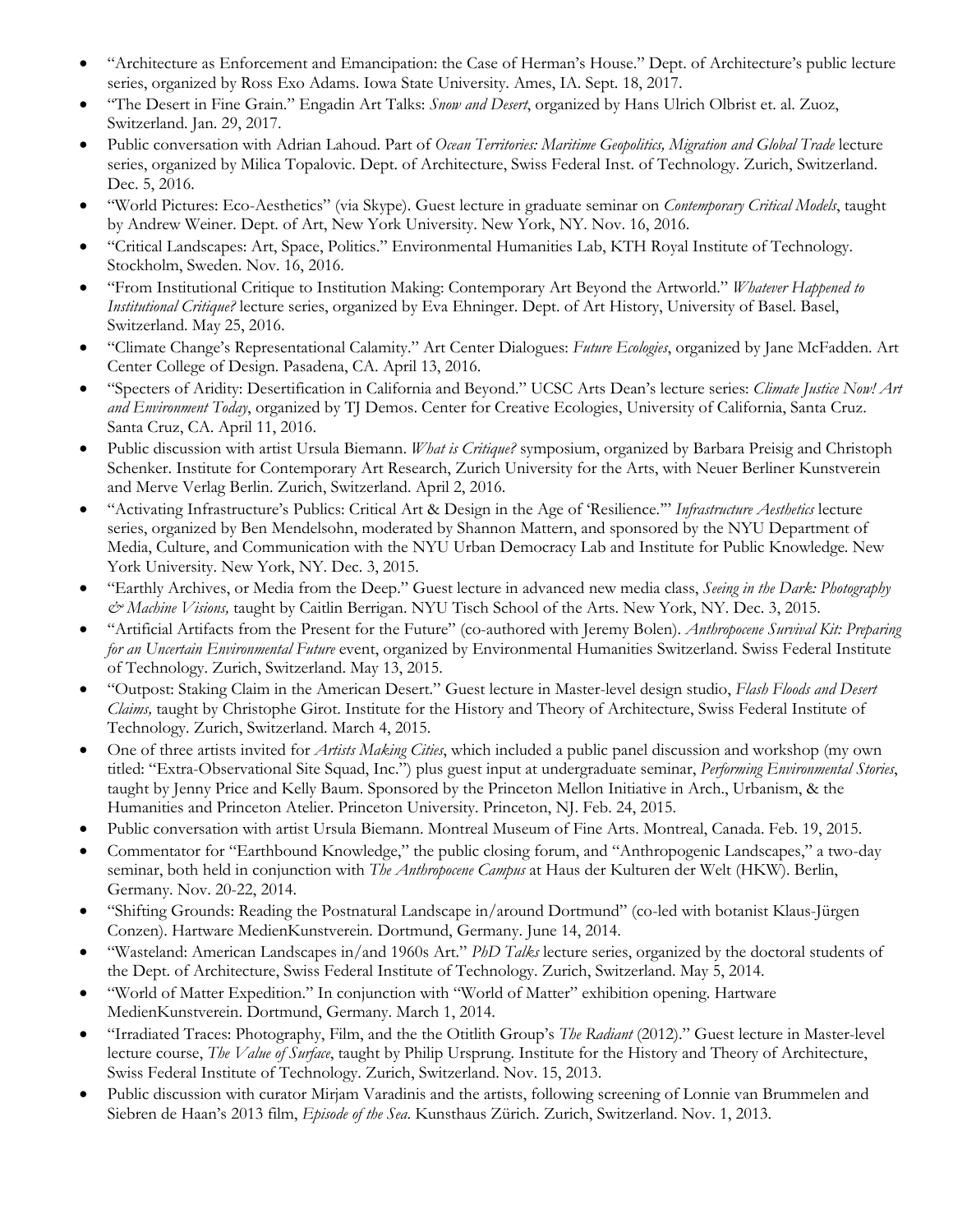- "Architecture as Enforcement and Emancipation: the Case of Herman's House." Dept. of Architecture's public lecture series, organized by Ross Exo Adams. Iowa State University. Ames, IA. Sept. 18, 2017.
- "The Desert in Fine Grain." Engadin Art Talks: *Snow and Desert*, organized by Hans Ulrich Olbrist et. al. Zuoz, Switzerland. Jan. 29, 2017.
- Public conversation with Adrian Lahoud. Part of *Ocean Territories: Maritime Geopolitics, Migration and Global Trade* lecture series, organized by Milica Topalovic. Dept. of Architecture, Swiss Federal Inst. of Technology. Zurich, Switzerland. Dec. 5, 2016.
- "World Pictures: Eco-Aesthetics" (via Skype). Guest lecture in graduate seminar on *Contemporary Critical Models*, taught by Andrew Weiner. Dept. of Art, New York University. New York, NY. Nov. 16, 2016.
- "Critical Landscapes: Art, Space, Politics." Environmental Humanities Lab, KTH Royal Institute of Technology. Stockholm, Sweden. Nov. 16, 2016.
- "From Institutional Critique to Institution Making: Contemporary Art Beyond the Artworld." *Whatever Happened to Institutional Critique?* lecture series, organized by Eva Ehninger. Dept. of Art History, University of Basel. Basel, Switzerland. May 25, 2016.
- "Climate Change's Representational Calamity." Art Center Dialogues: *Future Ecologies*, organized by Jane McFadden. Art Center College of Design. Pasadena, CA. April 13, 2016.
- "Specters of Aridity: Desertification in California and Beyond." UCSC Arts Dean's lecture series: *Climate Justice Now! Art and Environment Today*, organized by TJ Demos. Center for Creative Ecologies, University of California, Santa Cruz. Santa Cruz, CA. April 11, 2016.
- Public discussion with artist Ursula Biemann. *What is Critique?* symposium, organized by Barbara Preisig and Christoph Schenker. Institute for Contemporary Art Research, Zurich University for the Arts, with Neuer Berliner Kunstverein and Merve Verlag Berlin. Zurich, Switzerland. April 2, 2016.
- "Activating Infrastructure's Publics: Critical Art & Design in the Age of 'Resilience.'" *Infrastructure Aesthetics* lecture series, organized by Ben Mendelsohn, moderated by Shannon Mattern, and sponsored by the NYU Department of Media, Culture, and Communication with the NYU Urban Democracy Lab and Institute for Public Knowledge. New York University. New York, NY. Dec. 3, 2015.
- "Earthly Archives, or Media from the Deep." Guest lecture in advanced new media class, *Seeing in the Dark: Photography & Machine Visions,* taught by Caitlin Berrigan. NYU Tisch School of the Arts. New York, NY. Dec. 3, 2015.
- "Artificial Artifacts from the Present for the Future" (co-authored with Jeremy Bolen). *Anthropocene Survival Kit: Preparing for an Uncertain Environmental Future* event, organized by Environmental Humanities Switzerland. Swiss Federal Institute of Technology. Zurich, Switzerland. May 13, 2015.
- "Outpost: Staking Claim in the American Desert." Guest lecture in Master-level design studio, *Flash Floods and Desert Claims,* taught by Christophe Girot. Institute for the History and Theory of Architecture, Swiss Federal Institute of Technology. Zurich, Switzerland. March 4, 2015.
- One of three artists invited for *Artists Making Cities*, which included a public panel discussion and workshop (my own titled: "Extra-Observational Site Squad, Inc.") plus guest input at undergraduate seminar, *Performing Environmental Stories*, taught by Jenny Price and Kelly Baum. Sponsored by the Princeton Mellon Initiative in Arch., Urbanism, & the Humanities and Princeton Atelier. Princeton University. Princeton, NJ. Feb. 24, 2015.
- Public conversation with artist Ursula Biemann. Montreal Museum of Fine Arts. Montreal, Canada. Feb. 19, 2015.
- Commentator for "Earthbound Knowledge," the public closing forum, and "Anthropogenic Landscapes," a two-day seminar, both held in conjunction with *The Anthropocene Campus* at Haus der Kulturen der Welt (HKW). Berlin, Germany. Nov. 20-22, 2014.
- "Shifting Grounds: Reading the Postnatural Landscape in/around Dortmund" (co-led with botanist Klaus-Jürgen Conzen). Hartware MedienKunstverein. Dortmund, Germany. June 14, 2014.
- "Wasteland: American Landscapes in/and 1960s Art." *PhD Talks* lecture series, organized by the doctoral students of the Dept. of Architecture, Swiss Federal Institute of Technology. Zurich, Switzerland. May 5, 2014.
- "World of Matter Expedition." In conjunction with "World of Matter" exhibition opening. Hartware MedienKunstverein. Dortmund, Germany. March 1, 2014.
- "Irradiated Traces: Photography, Film, and the the Otitlith Group's *The Radiant* (2012)." Guest lecture in Master-level lecture course, *The Value of Surface*, taught by Philip Ursprung. Institute for the History and Theory of Architecture, Swiss Federal Institute of Technology. Zurich, Switzerland. Nov. 15, 2013.
- Public discussion with curator Mirjam Varadinis and the artists, following screening of Lonnie van Brummelen and Siebren de Haan's 2013 film, *Episode of the Sea*. Kunsthaus Zürich. Zurich, Switzerland. Nov. 1, 2013.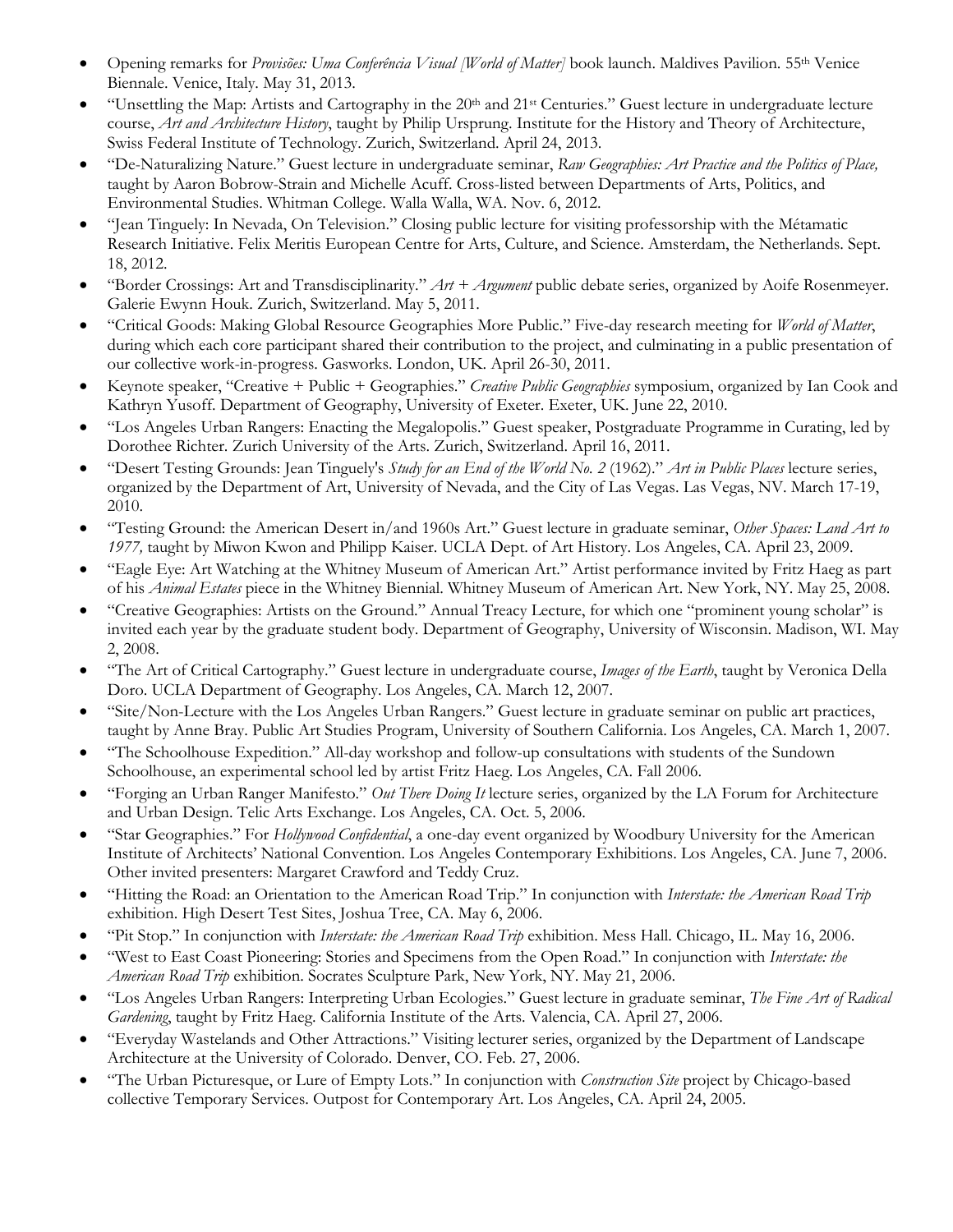- Opening remarks for *Provisões: Uma Conferência Visual [World of Matter]* book launch. Maldives Pavilion. 55th Venice Biennale. Venice, Italy. May 31, 2013.
- "Unsettling the Map: Artists and Cartography in the  $20<sup>th</sup>$  and  $21<sup>st</sup>$  Centuries." Guest lecture in undergraduate lecture course, *Art and Architecture History*, taught by Philip Ursprung. Institute for the History and Theory of Architecture, Swiss Federal Institute of Technology. Zurich, Switzerland. April 24, 2013.
- "De-Naturalizing Nature." Guest lecture in undergraduate seminar, *Raw Geographies: Art Practice and the Politics of Place,*  taught by Aaron Bobrow-Strain and Michelle Acuff. Cross-listed between Departments of Arts, Politics, and Environmental Studies. Whitman College. Walla Walla, WA. Nov. 6, 2012.
- "Jean Tinguely: In Nevada, On Television." Closing public lecture for visiting professorship with the Métamatic Research Initiative. Felix Meritis European Centre for Arts, Culture, and Science. Amsterdam, the Netherlands. Sept. 18, 2012.
- "Border Crossings: Art and Transdisciplinarity." *Art + Argument* public debate series, organized by Aoife Rosenmeyer. Galerie Ewynn Houk. Zurich, Switzerland. May 5, 2011.
- "Critical Goods: Making Global Resource Geographies More Public." Five-day research meeting for *World of Matter*, during which each core participant shared their contribution to the project, and culminating in a public presentation of our collective work-in-progress. Gasworks. London, UK. April 26-30, 2011.
- Keynote speaker, "Creative + Public + Geographies." *Creative Public Geographies* symposium, organized by Ian Cook and Kathryn Yusoff. Department of Geography, University of Exeter. Exeter, UK. June 22, 2010.
- "Los Angeles Urban Rangers: Enacting the Megalopolis." Guest speaker, Postgraduate Programme in Curating, led by Dorothee Richter. Zurich University of the Arts. Zurich, Switzerland. April 16, 2011.
- "Desert Testing Grounds: Jean Tinguely's *Study for an End of the World No. 2* (1962)." *Art in Public Places* lecture series, organized by the Department of Art, University of Nevada, and the City of Las Vegas. Las Vegas, NV. March 17-19, 2010.
- "Testing Ground: the American Desert in/and 1960s Art." Guest lecture in graduate seminar, *Other Spaces: Land Art to 1977,* taught by Miwon Kwon and Philipp Kaiser. UCLA Dept. of Art History. Los Angeles, CA. April 23, 2009.
- "Eagle Eye: Art Watching at the Whitney Museum of American Art." Artist performance invited by Fritz Haeg as part of his *Animal Estates* piece in the Whitney Biennial. Whitney Museum of American Art. New York, NY. May 25, 2008.
- "Creative Geographies: Artists on the Ground." Annual Treacy Lecture, for which one "prominent young scholar" is invited each year by the graduate student body. Department of Geography, University of Wisconsin. Madison, WI. May 2, 2008.
- "The Art of Critical Cartography." Guest lecture in undergraduate course, *Images of the Earth*, taught by Veronica Della Doro. UCLA Department of Geography. Los Angeles, CA. March 12, 2007.
- "Site/Non-Lecture with the Los Angeles Urban Rangers." Guest lecture in graduate seminar on public art practices, taught by Anne Bray. Public Art Studies Program, University of Southern California. Los Angeles, CA. March 1, 2007.
- "The Schoolhouse Expedition." All-day workshop and follow-up consultations with students of the Sundown Schoolhouse, an experimental school led by artist Fritz Haeg. Los Angeles, CA. Fall 2006.
- "Forging an Urban Ranger Manifesto." *Out There Doing It* lecture series, organized by the LA Forum for Architecture and Urban Design. Telic Arts Exchange. Los Angeles, CA. Oct. 5, 2006.
- "Star Geographies." For *Hollywood Confidential*, a one-day event organized by Woodbury University for the American Institute of Architects' National Convention. Los Angeles Contemporary Exhibitions. Los Angeles, CA. June 7, 2006. Other invited presenters: Margaret Crawford and Teddy Cruz.
- "Hitting the Road: an Orientation to the American Road Trip." In conjunction with *Interstate: the American Road Trip* exhibition. High Desert Test Sites, Joshua Tree, CA. May 6, 2006.
- "Pit Stop." In conjunction with *Interstate: the American Road Trip* exhibition. Mess Hall. Chicago, IL. May 16, 2006.
- "West to East Coast Pioneering: Stories and Specimens from the Open Road." In conjunction with *Interstate: the American Road Trip* exhibition. Socrates Sculpture Park, New York, NY. May 21, 2006.
- "Los Angeles Urban Rangers: Interpreting Urban Ecologies." Guest lecture in graduate seminar, *The Fine Art of Radical Gardening*, taught by Fritz Haeg. California Institute of the Arts. Valencia, CA. April 27, 2006.
- "Everyday Wastelands and Other Attractions." Visiting lecturer series, organized by the Department of Landscape Architecture at the University of Colorado. Denver, CO. Feb. 27, 2006.
- "The Urban Picturesque, or Lure of Empty Lots." In conjunction with *Construction Site* project by Chicago-based collective Temporary Services. Outpost for Contemporary Art. Los Angeles, CA. April 24, 2005.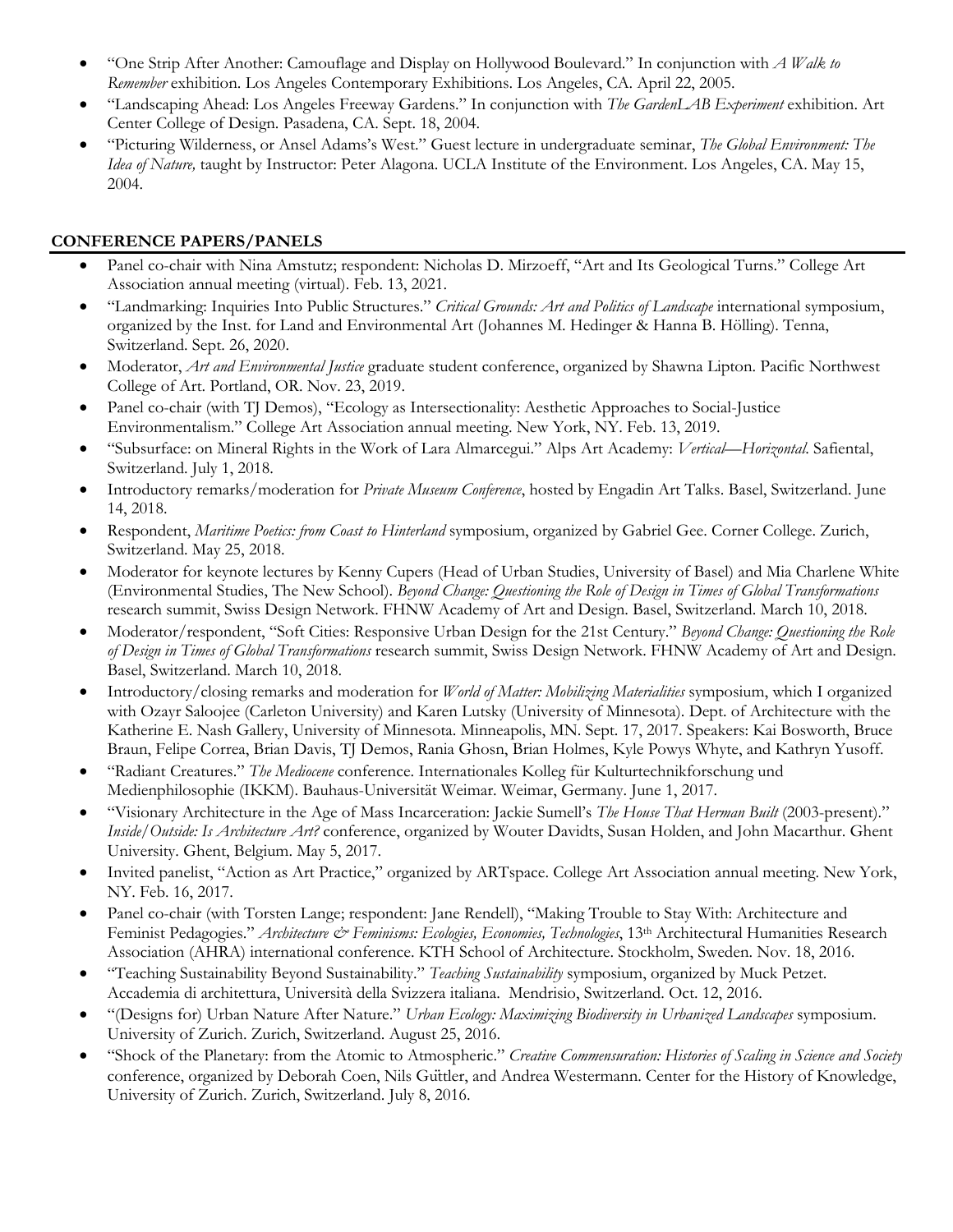- "One Strip After Another: Camouflage and Display on Hollywood Boulevard." In conjunction with *A Walk to Remember* exhibition. Los Angeles Contemporary Exhibitions. Los Angeles, CA. April 22, 2005.
- "Landscaping Ahead: Los Angeles Freeway Gardens." In conjunction with *The GardenLAB Experiment* exhibition. Art Center College of Design. Pasadena, CA. Sept. 18, 2004.
- "Picturing Wilderness, or Ansel Adams's West." Guest lecture in undergraduate seminar, *The Global Environment: The Idea of Nature,* taught by Instructor: Peter Alagona. UCLA Institute of the Environment. Los Angeles, CA. May 15, 2004.

### **CONFERENCE PAPERS/PANELS**

- Panel co-chair with Nina Amstutz; respondent: Nicholas D. Mirzoeff, "Art and Its Geological Turns." College Art Association annual meeting (virtual). Feb. 13, 2021.
- "Landmarking: Inquiries Into Public Structures." *Critical Grounds: Art and Politics of Landscape* international symposium, organized by the Inst. for Land and Environmental Art (Johannes M. Hedinger & Hanna B. Hölling). Tenna, Switzerland. Sept. 26, 2020.
- Moderator, *Art and Environmental Justice* graduate student conference, organized by Shawna Lipton. Pacific Northwest College of Art. Portland, OR. Nov. 23, 2019.
- Panel co-chair (with TJ Demos), "Ecology as Intersectionality: Aesthetic Approaches to Social-Justice Environmentalism." College Art Association annual meeting. New York, NY. Feb. 13, 2019.
- "Subsurface: on Mineral Rights in the Work of Lara Almarcegui." Alps Art Academy: *Vertical—Horizontal*. Safiental, Switzerland. July 1, 2018.
- Introductory remarks/moderation for *Private Museum Conference*, hosted by Engadin Art Talks. Basel, Switzerland. June 14, 2018.
- Respondent, *Maritime Poetics: from Coast to Hinterland* symposium, organized by Gabriel Gee. Corner College. Zurich, Switzerland. May 25, 2018.
- Moderator for keynote lectures by Kenny Cupers (Head of Urban Studies, University of Basel) and Mia Charlene White (Environmental Studies, The New School). *Beyond Change: Questioning the Role of Design in Times of Global Transformations* research summit, Swiss Design Network. FHNW Academy of Art and Design. Basel, Switzerland. March 10, 2018.
- Moderator/respondent, "Soft Cities: Responsive Urban Design for the 21st Century." *Beyond Change: Questioning the Role of Design in Times of Global Transformations* research summit, Swiss Design Network. FHNW Academy of Art and Design. Basel, Switzerland. March 10, 2018.
- Introductory/closing remarks and moderation for *World of Matter: Mobilizing Materialities* symposium, which I organized with Ozayr Saloojee (Carleton University) and Karen Lutsky (University of Minnesota). Dept. of Architecture with the Katherine E. Nash Gallery, University of Minnesota. Minneapolis, MN. Sept. 17, 2017. Speakers: Kai Bosworth, Bruce Braun, Felipe Correa, Brian Davis, TJ Demos, Rania Ghosn, Brian Holmes, Kyle Powys Whyte, and Kathryn Yusoff.
- "Radiant Creatures." *The Mediocene* conference. Internationales Kolleg für Kulturtechnikforschung und Medienphilosophie (IKKM). Bauhaus-Universität Weimar. Weimar, Germany. June 1, 2017.
- "Visionary Architecture in the Age of Mass Incarceration: Jackie Sumell's *The House That Herman Built* (2003-present)." *Inside/Outside: Is Architecture Art?* conference, organized by Wouter Davidts, Susan Holden, and John Macarthur. Ghent University. Ghent, Belgium. May 5, 2017.
- Invited panelist, "Action as Art Practice," organized by ARTspace. College Art Association annual meeting. New York, NY. Feb. 16, 2017.
- Panel co-chair (with Torsten Lange; respondent: Jane Rendell), "Making Trouble to Stay With: Architecture and Feminist Pedagogies." Architecture & Feminisms: Ecologies, Economies, Technologies, 13<sup>th</sup> Architectural Humanities Research Association (AHRA) international conference. KTH School of Architecture. Stockholm, Sweden. Nov. 18, 2016.
- "Teaching Sustainability Beyond Sustainability." *Teaching Sustainability* symposium, organized by Muck Petzet. Accademia di architettura, Università della Svizzera italiana. Mendrisio, Switzerland. Oct. 12, 2016.
- "(Designs for) Urban Nature After Nature." *Urban Ecology: Maximizing Biodiversity in Urbanized Landscapes* symposium. University of Zurich. Zurich, Switzerland. August 25, 2016.
- "Shock of the Planetary: from the Atomic to Atmospheric." *Creative Commensuration: Histories of Scaling in Science and Society* conference, organized by Deborah Coen, Nils Güttler, and Andrea Westermann. Center for the History of Knowledge, University of Zurich. Zurich, Switzerland. July 8, 2016.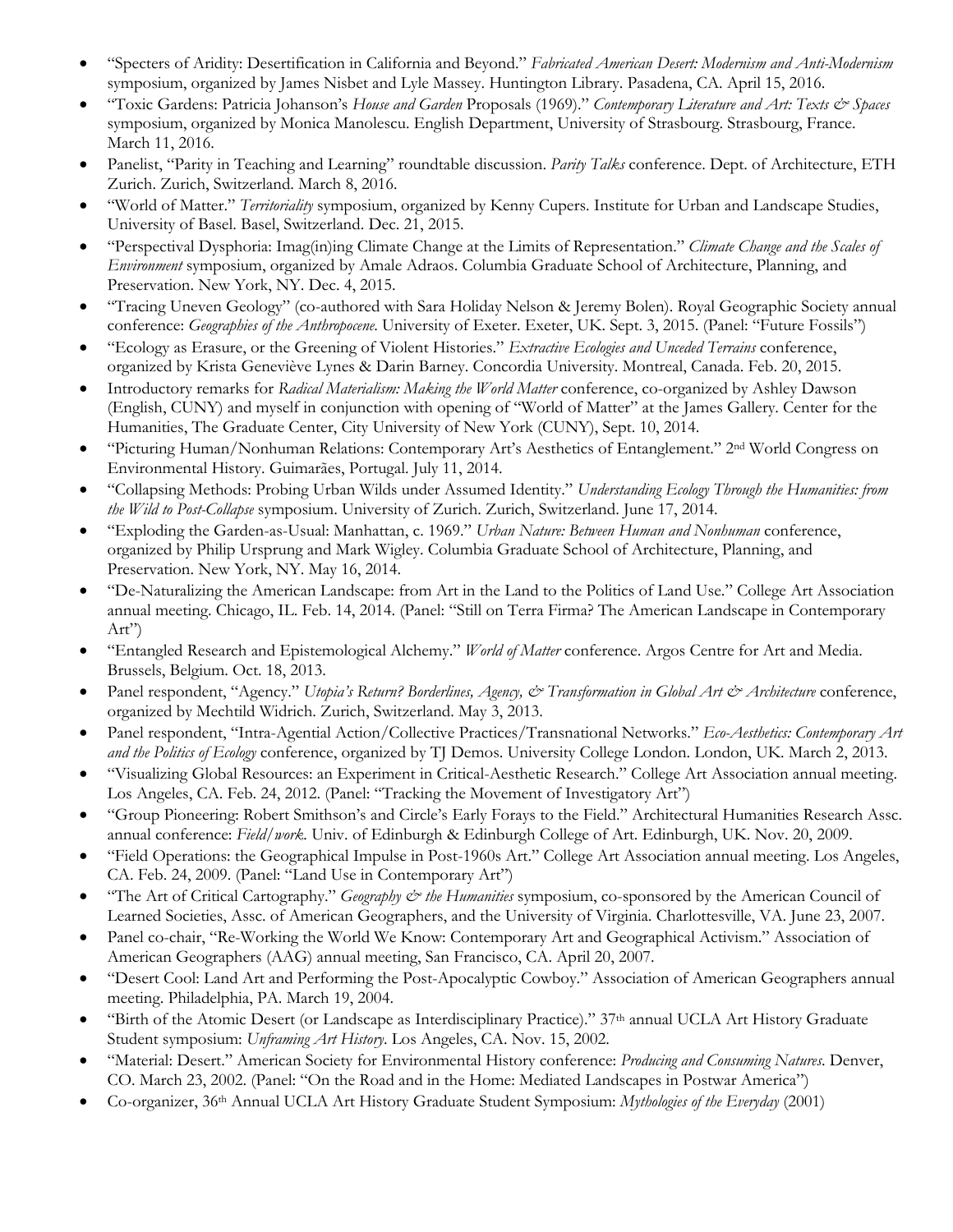- "Specters of Aridity: Desertification in California and Beyond." *Fabricated American Desert: Modernism and Anti-Modernism* symposium, organized by James Nisbet and Lyle Massey. Huntington Library. Pasadena, CA. April 15, 2016.
- "Toxic Gardens: Patricia Johanson's *House and Garden* Proposals (1969)." *Contemporary Literature and Art: Texts & Spaces*  symposium, organized by Monica Manolescu. English Department, University of Strasbourg. Strasbourg, France. March 11, 2016.
- Panelist, "Parity in Teaching and Learning" roundtable discussion. *Parity Talks* conference. Dept. of Architecture, ETH Zurich. Zurich, Switzerland. March 8, 2016.
- "World of Matter." *Territoriality* symposium, organized by Kenny Cupers. Institute for Urban and Landscape Studies, University of Basel. Basel, Switzerland. Dec. 21, 2015.
- "Perspectival Dysphoria: Imag(in)ing Climate Change at the Limits of Representation." *Climate Change and the Scales of Environment* symposium, organized by Amale Adraos. Columbia Graduate School of Architecture, Planning, and Preservation. New York, NY. Dec. 4, 2015.
- "Tracing Uneven Geology" (co-authored with Sara Holiday Nelson & Jeremy Bolen). Royal Geographic Society annual conference: *Geographies of the Anthropocene*. University of Exeter. Exeter, UK. Sept. 3, 2015. (Panel: "Future Fossils")
- "Ecology as Erasure, or the Greening of Violent Histories." *Extractive Ecologies and Unceded Terrains* conference, organized by Krista Geneviève Lynes & Darin Barney. Concordia University. Montreal, Canada. Feb. 20, 2015.
- Introductory remarks for *Radical Materialism: Making the World Matter* conference, co-organized by Ashley Dawson (English, CUNY) and myself in conjunction with opening of "World of Matter" at the James Gallery. Center for the Humanities, The Graduate Center, City University of New York (CUNY), Sept. 10, 2014.
- "Picturing Human/Nonhuman Relations: Contemporary Art's Aesthetics of Entanglement." 2nd World Congress on Environmental History. Guimarães, Portugal. July 11, 2014.
- "Collapsing Methods: Probing Urban Wilds under Assumed Identity." *Understanding Ecology Through the Humanities: from the Wild to Post-Collapse* symposium. University of Zurich. Zurich, Switzerland. June 17, 2014.
- "Exploding the Garden-as-Usual: Manhattan, c. 1969." *Urban Nature: Between Human and Nonhuman* conference, organized by Philip Ursprung and Mark Wigley. Columbia Graduate School of Architecture, Planning, and Preservation. New York, NY. May 16, 2014.
- "De-Naturalizing the American Landscape: from Art in the Land to the Politics of Land Use." College Art Association annual meeting. Chicago, IL. Feb. 14, 2014. (Panel: "Still on Terra Firma? The American Landscape in Contemporary Art")
- "Entangled Research and Epistemological Alchemy." *World of Matter* conference. Argos Centre for Art and Media. Brussels, Belgium. Oct. 18, 2013.
- Panel respondent, "Agency." *Utopia's Return? Borderlines, Agency, & Transformation in Global Art & Architecture* conference, organized by Mechtild Widrich. Zurich, Switzerland. May 3, 2013.
- Panel respondent, "Intra-Agential Action/Collective Practices/Transnational Networks." *Eco-Aesthetics: Contemporary Art and the Politics of Ecology* conference, organized by TJ Demos. University College London. London, UK. March 2, 2013.
- "Visualizing Global Resources: an Experiment in Critical-Aesthetic Research." College Art Association annual meeting. Los Angeles, CA. Feb. 24, 2012. (Panel: "Tracking the Movement of Investigatory Art")
- "Group Pioneering: Robert Smithson's and Circle's Early Forays to the Field." Architectural Humanities Research Assc. annual conference: *Field/work.* Univ. of Edinburgh & Edinburgh College of Art. Edinburgh, UK. Nov. 20, 2009.
- "Field Operations: the Geographical Impulse in Post-1960s Art." College Art Association annual meeting. Los Angeles, CA. Feb. 24, 2009. (Panel: "Land Use in Contemporary Art")
- "The Art of Critical Cartography." *Geography & the Humanities* symposium, co-sponsored by the American Council of Learned Societies, Assc. of American Geographers, and the University of Virginia. Charlottesville, VA. June 23, 2007.
- Panel co-chair, "Re-Working the World We Know: Contemporary Art and Geographical Activism." Association of American Geographers (AAG) annual meeting, San Francisco, CA. April 20, 2007.
- "Desert Cool: Land Art and Performing the Post-Apocalyptic Cowboy." Association of American Geographers annual meeting. Philadelphia, PA. March 19, 2004.
- "Birth of the Atomic Desert (or Landscape as Interdisciplinary Practice)." 37th annual UCLA Art History Graduate Student symposium: *Unframing Art History*. Los Angeles, CA. Nov. 15, 2002.
- "Material: Desert." American Society for Environmental History conference: *Producing and Consuming Natures*. Denver, CO. March 23, 2002. (Panel: "On the Road and in the Home: Mediated Landscapes in Postwar America")
- Co-organizer, 36th Annual UCLA Art History Graduate Student Symposium: *Mythologies of the Everyday* (2001)